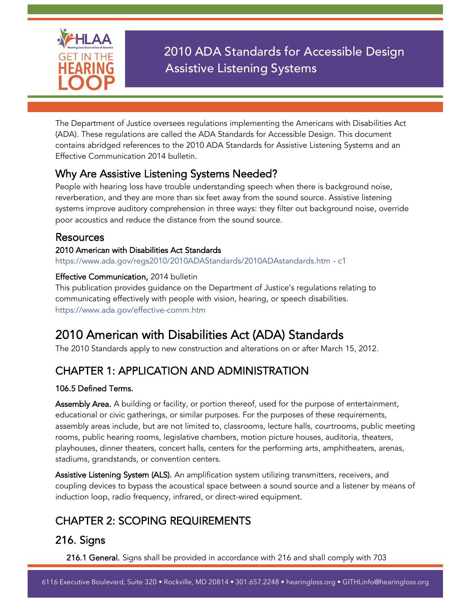

2010 ADA Standards for Accessible Design Assistive Listening Systems

The Department of Justice oversees regulations implementing the Americans with Disabilities Act (ADA). These regulations are called the ADA Standards for Accessible Design. This document contains abridged references to the 2010 ADA Standards for Assistive Listening Systems and an Effective Communication 2014 bulletin.

### Why Are Assistive Listening Systems Needed?

People with hearing loss have trouble understanding speech when there is background noise, reverberation, and they are more than six feet away from the sound source. Assistive listening systems improve auditory comprehension in three ways: they filter out background noise, override poor acoustics and reduce the distance from the sound source.

### Resources

#### 2010 American with Disabilities Act Standards

[https://www.ada.gov/regs2010/2010ADAStandards/2010ADAstandards.htm -](https://www.ada.gov/regs2010/2010ADAStandards/2010ADAstandards.htm#c1) c1

#### Effective Communication, 2014 bulletin

This publication provides guidance on the Department of Justice's regulations relating to communicating effectively with people with vision, hearing, or speech disabilities. <https://www.ada.gov/effective-comm.htm>

# 2010 American with Disabilities Act (ADA) Standards

The 2010 Standards apply to new construction and alterations on or after March 15, 2012.

# CHAPTER 1: APPLICATION AND ADMINISTRATION

#### 106.5 Defined Terms.

Assembly Area. A building or facility, or portion thereof, used for the purpose of entertainment, educational or civic gatherings, or similar purposes. For the purposes of these requirements, assembly areas include, but are not limited to, classrooms, lecture halls, courtrooms, public meeting rooms, public hearing rooms, legislative chambers, motion picture houses, auditoria, theaters, playhouses, dinner theaters, concert halls, centers for the performing arts, amphitheaters, arenas, stadiums, grandstands, or convention centers.

Assistive Listening System (ALS). An amplification system utilizing transmitters, receivers, and coupling devices to bypass the acoustical space between a sound source and a listener by means of induction loop, radio frequency, infrared, or direct-wired equipment.

# CHAPTER 2: SCOPING REQUIREMENTS

# 216. Signs

216.1 General. Signs shall be provided in accordance with 216 and shall comply with 703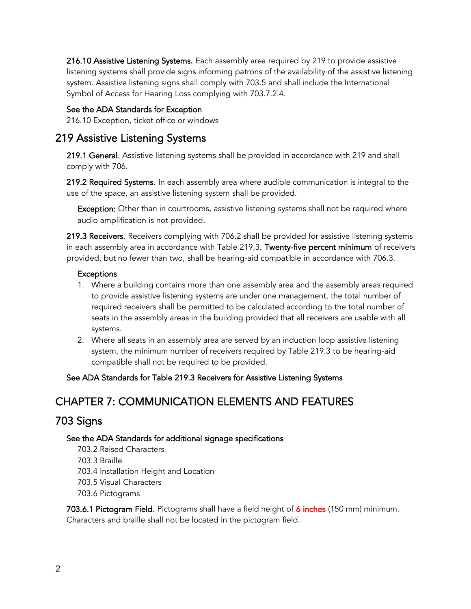216.10 Assistive Listening Systems. Each assembly area required by 219 to provide assistive listening systems shall provide signs informing patrons of the availability of the assistive listening system. Assistive listening signs shall comply with 703.5 and shall include the International Symbol of Access for Hearing Loss complying with 703.7.2.4.

#### See the ADA Standards for Exception

216.10 Exception, ticket office or windows

### 219 Assistive Listening Systems

219.1 General. Assistive listening systems shall be provided in accordance with 219 and shall comply with 706.

219.2 Required Systems. In each assembly area where audible communication is integral to the use of the space, an assistive listening system shall be provided.

Exception: Other than in courtrooms, assistive listening systems shall not be required where audio amplification is not provided.

219.3 Receivers. Receivers complying with 706.2 shall be provided for assistive listening systems in each assembly area in accordance with Table 219.3. Twenty-five percent minimum of receivers provided, but no fewer than two, shall be hearing-aid compatible in accordance with 706.3.

#### **Exceptions**

- 1. Where a building contains more than one assembly area and the assembly areas required to provide assistive listening systems are under one management, the total number of required receivers shall be permitted to be calculated according to the total number of seats in the assembly areas in the building provided that all receivers are usable with all systems.
- 2. Where all seats in an assembly area are served by an induction loop assistive listening system, the minimum number of receivers required by Table 219.3 to be hearing-aid compatible shall not be required to be provided.

#### See ADA Standards for Table 219.3 Receivers for Assistive Listening Systems

### CHAPTER 7: COMMUNICATION ELEMENTS AND FEATURES

### 703 Signs

#### See the ADA Standards for additional signage specifications

703.2 Raised Characters 703.3 Braille 703.4 Installation Height and Location 703.5 Visual Characters 703.6 Pictograms

703.6.1 Pictogram Field. Pictograms shall have a field height of 6 inches (150 mm) minimum. Characters and braille shall not be located in the pictogram field.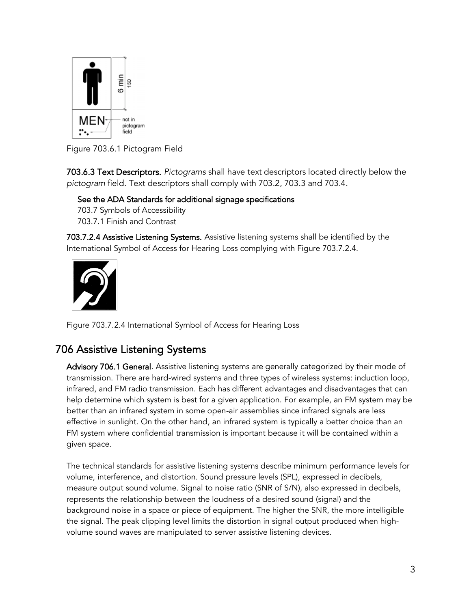

Figure 703.6.1 Pictogram Field

703.6.3 Text Descriptors. *Pictograms* shall have text descriptors located directly below the *pictogram* field. Text descriptors shall comply with 703.2, 703.3 and 703.4.

See the ADA Standards for additional signage specifications

703.7 Symbols of Accessibility

703.7.1 Finish and Contrast

703.7.2.4 Assistive Listening Systems. Assistive listening systems shall be identified by the International Symbol of Access for Hearing Loss complying with Figure 703.7.2.4.



Figure 703.7.2.4 International Symbol of Access for Hearing Loss

# 706 Assistive Listening Systems

Advisory 706.1 General. Assistive listening systems are generally categorized by their mode of transmission. There are hard-wired systems and three types of wireless systems: induction loop, infrared, and FM radio transmission. Each has different advantages and disadvantages that can help determine which system is best for a given application. For example, an FM system may be better than an infrared system in some open-air assemblies since infrared signals are less effective in sunlight. On the other hand, an infrared system is typically a better choice than an FM system where confidential transmission is important because it will be contained within a given space.

The technical standards for assistive listening systems describe minimum performance levels for volume, interference, and distortion. Sound pressure levels (SPL), expressed in decibels, measure output sound volume. Signal to noise ratio (SNR of S/N), also expressed in decibels, represents the relationship between the loudness of a desired sound (signal) and the background noise in a space or piece of equipment. The higher the SNR, the more intelligible the signal. The peak clipping level limits the distortion in signal output produced when highvolume sound waves are manipulated to server assistive listening devices.